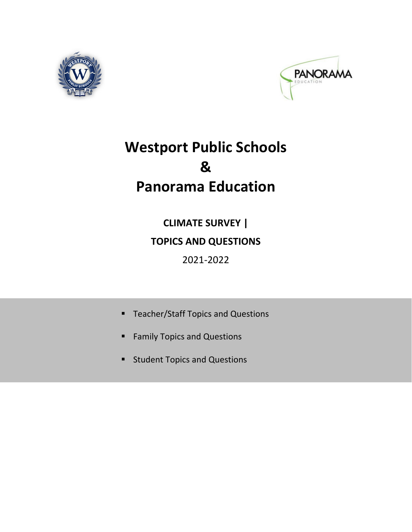<span id="page-0-0"></span>



# **Westport Public Schools & Panorama Education**

**CLIMATE SURVEY | TOPICS AND QUESTIONS** 2021‐2022

- **[Teacher/Staff](#page-1-0) Topics and Questions**
- **Family Topics and [Questions](#page-3-0)**
- **Student Topics and [Questions](#page-4-0)**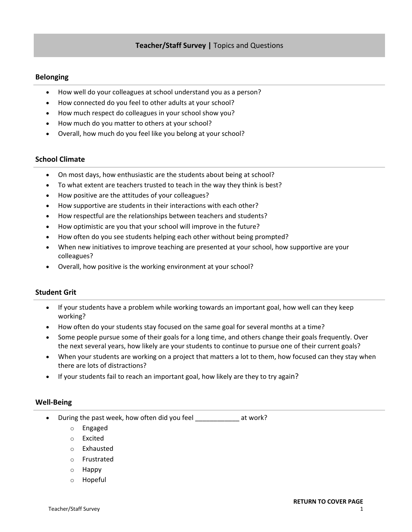# <span id="page-1-0"></span>**Belonging**

- How well do your colleagues at school understand you as a person?
- How connected do you feel to other adults at your school?
- How much respect do colleagues in your school show you?
- How much do you matter to others at your school?
- Overall, how much do you feel like you belong at your school?

# **School Climate**

- On most days, how enthusiastic are the students about being at school?
- To what extent are teachers trusted to teach in the way they think is best?
- How positive are the attitudes of your colleagues?
- How supportive are students in their interactions with each other?
- How respectful are the relationships between teachers and students?
- How optimistic are you that your school will improve in the future?
- How often do you see students helping each other without being prompted?
- When new initiatives to improve teaching are presented at your school, how supportive are your colleagues?
- Overall, how positive is the working environment at your school?

# **Student Grit**

- If your students have a problem while working towards an important goal, how well can they keep working?
- How often do your students stay focused on the same goal for several months at a time?
- Some people pursue some of their goals for a long time, and others change their goals frequently. Over the next several years, how likely are your students to continue to pursue one of their current goals?
- When your students are working on a project that matters a lot to them, how focused can they stay when there are lots of distractions?
- If your students fail to reach an important goal, how likely are they to try again?

## **Well‐Being**

- During the past week, how often did you feel \_\_\_\_\_\_\_\_\_\_\_\_ at work?
	- o Engaged
	- o Excited
	- o Exhausted
	- o Frustrated
	- o Happy
	- o Hopeful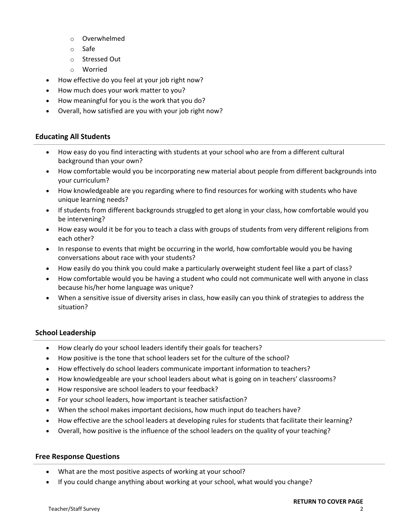- o Overwhelmed
- o Safe
- o Stressed Out
- o Worried
- How effective do you feel at your job right now?
- How much does your work matter to you?
- How meaningful for you is the work that you do?
- Overall, how satisfied are you with your job right now?

# **Educating All Students**

- How easy do you find interacting with students at your school who are from a different cultural background than your own?
- How comfortable would you be incorporating new material about people from different backgrounds into your curriculum?
- How knowledgeable are you regarding where to find resources for working with students who have unique learning needs?
- If students from different backgrounds struggled to get along in your class, how comfortable would you be intervening?
- How easy would it be for you to teach a class with groups of students from very different religions from each other?
- In response to events that might be occurring in the world, how comfortable would you be having conversations about race with your students?
- How easily do you think you could make a particularly overweight student feel like a part of class?
- How comfortable would you be having a student who could not communicate well with anyone in class because his/her home language was unique?
- When a sensitive issue of diversity arises in class, how easily can you think of strategies to address the situation?

# **School Leadership**

- How clearly do your school leaders identify their goals for teachers?
- How positive is the tone that school leaders set for the culture of the school?
- How effectively do school leaders communicate important information to teachers?
- How knowledgeable are your school leaders about what is going on in teachers' classrooms?
- How responsive are school leaders to your feedback?
- For your school leaders, how important is teacher satisfaction?
- When the school makes important decisions, how much input do teachers have?
- How effective are the school leaders at developing rules for students that facilitate their learning?
- Overall, how positive is the influence of the school leaders on the quality of your teaching?

## **Free Response Questions**

- What are the most positive aspects of working at your school?
- If you could change anything about working at your school, what would you change?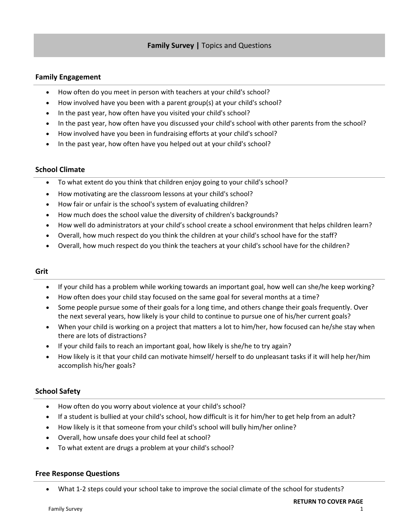# <span id="page-3-0"></span>**Family Engagement**

- How often do you meet in person with teachers at your child's school?
- How involved have you been with a parent group(s) at your child's school?
- In the past year, how often have you visited your child's school?
- In the past year, how often have you discussed your child's school with other parents from the school?
- How involved have you been in fundraising efforts at your child's school?
- In the past year, how often have you helped out at your child's school?

## **School Climate**

- To what extent do you think that children enjoy going to your child's school?
- How motivating are the classroom lessons at your child's school?
- How fair or unfair is the school's system of evaluating children?
- How much does the school value the diversity of children's backgrounds?
- How well do administrators at your child's school create a school environment that helps children learn?
- Overall, how much respect do you think the children at your child's school have for the staff?
- Overall, how much respect do you think the teachers at your child's school have for the children?

## **Grit**

- If your child has a problem while working towards an important goal, how well can she/he keep working?
- How often does your child stay focused on the same goal for several months at a time?
- Some people pursue some of their goals for a long time, and others change their goals frequently. Over the next several years, how likely is your child to continue to pursue one of his/her current goals?
- When your child is working on a project that matters a lot to him/her, how focused can he/she stay when there are lots of distractions?
- If your child fails to reach an important goal, how likely is she/he to try again?
- How likely is it that your child can motivate himself/ herself to do unpleasant tasks if it will help her/him accomplish his/her goals?

## **School Safety**

- How often do you worry about violence at your child's school?
- If a student is bullied at your child's school, how difficult is it for him/her to get help from an adult?
- How likely is it that someone from your child's school will bully him/her online?
- Overall, how unsafe does your child feel at school?
- To what extent are drugs a problem at your child's school?

#### **Free Response Questions**

What 1-2 steps could your school take to improve the social climate of the school for students?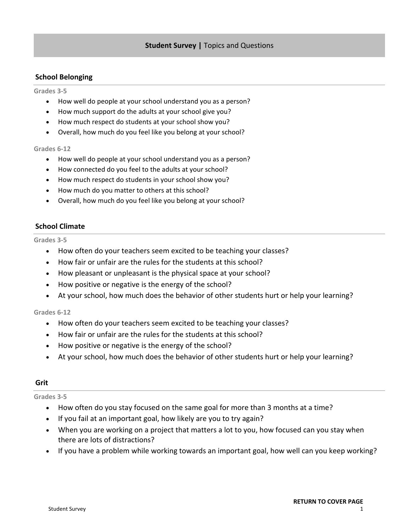# <span id="page-4-0"></span>**School Belonging**

#### **Grades 3‐5**

- How well do people at your school understand you as a person?
- How much support do the adults at your school give you?
- How much respect do students at your school show you?
- Overall, how much do you feel like you belong at your school?

#### **Grades 6‐12**

- How well do people at your school understand you as a person?
- How connected do you feel to the adults at your school?
- How much respect do students in your school show you?
- How much do you matter to others at this school?
- Overall, how much do you feel like you belong at your school?

# **School Climate**

**Grades 3‐5**

- How often do your teachers seem excited to be teaching your classes?
- How fair or unfair are the rules for the students at this school?
- How pleasant or unpleasant is the physical space at your school?
- How positive or negative is the energy of the school?
- At your school, how much does the behavior of other students hurt or help your learning?

#### **Grades 6‐12**

- How often do your teachers seem excited to be teaching your classes?
- How fair or unfair are the rules for the students at this school?
- How positive or negative is the energy of the school?
- At your school, how much does the behavior of other students hurt or help your learning?

## **Grit**

**Grades 3‐5**

- How often do you stay focused on the same goal for more than 3 months at a time?
- If you fail at an important goal, how likely are you to try again?
- When you are working on a project that matters a lot to you, how focused can you stay when there are lots of distractions?
- If you have a problem while working towards an important goal, how well can you keep working?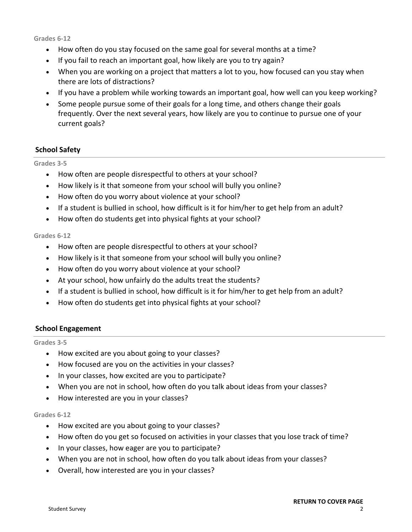**Grades 6‐12**

- How often do you stay focused on the same goal for several months at a time?
- If you fail to reach an important goal, how likely are you to try again?
- When you are working on a project that matters a lot to you, how focused can you stay when there are lots of distractions?
- If you have a problem while working towards an important goal, how well can you keep working?
- Some people pursue some of their goals for a long time, and others change their goals frequently. Over the next several years, how likely are you to continue to pursue one of your current goals?

# **School Safety**

## **Grades 3‐5**

- How often are people disrespectful to others at your school?
- How likely is it that someone from your school will bully you online?
- How often do you worry about violence at your school?
- If a student is bullied in school, how difficult is it for him/her to get help from an adult?
- How often do students get into physical fights at your school?

## **Grades 6‐12**

- How often are people disrespectful to others at your school?
- How likely is it that someone from your school will bully you online?
- How often do you worry about violence at your school?
- At your school, how unfairly do the adults treat the students?
- If a student is bullied in school, how difficult is it for him/her to get help from an adult?
- How often do students get into physical fights at your school?

# **School Engagement**

## **Grades 3‐5**

- How excited are you about going to your classes?
- How focused are you on the activities in your classes?
- In your classes, how excited are you to participate?
- When you are not in school, how often do you talk about ideas from your classes?
- How interested are you in your classes?

## **Grades 6‐12**

- How excited are you about going to your classes?
- How often do you get so focused on activities in your classes that you lose track of time?
- In your classes, how eager are you to participate?
- When you are not in school, how often do you talk about ideas from your classes?
- Overall, how interested are you in your classes?